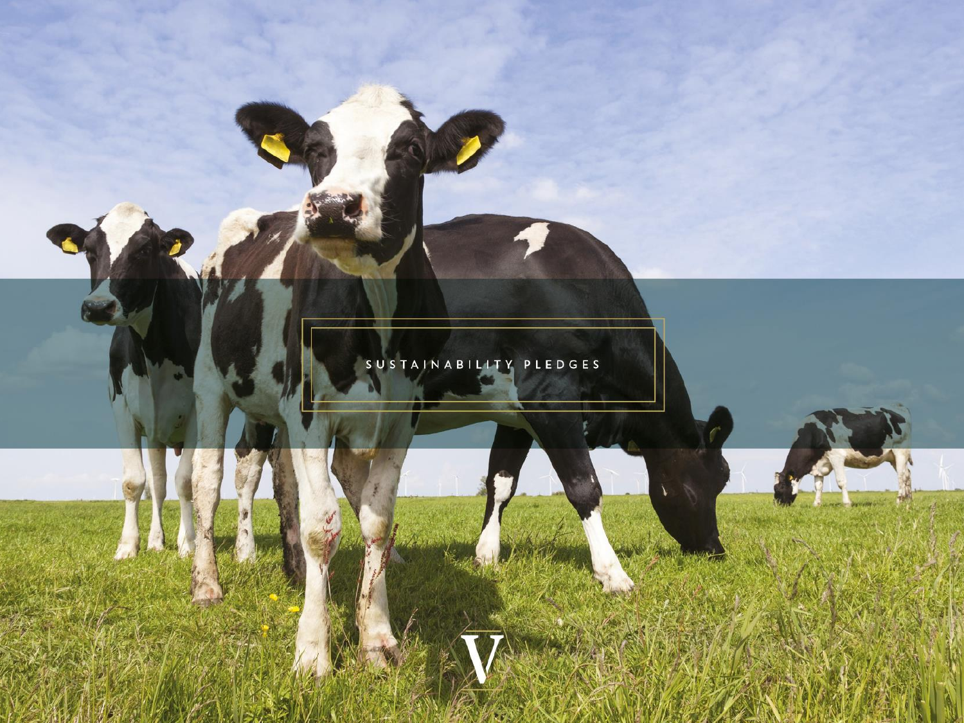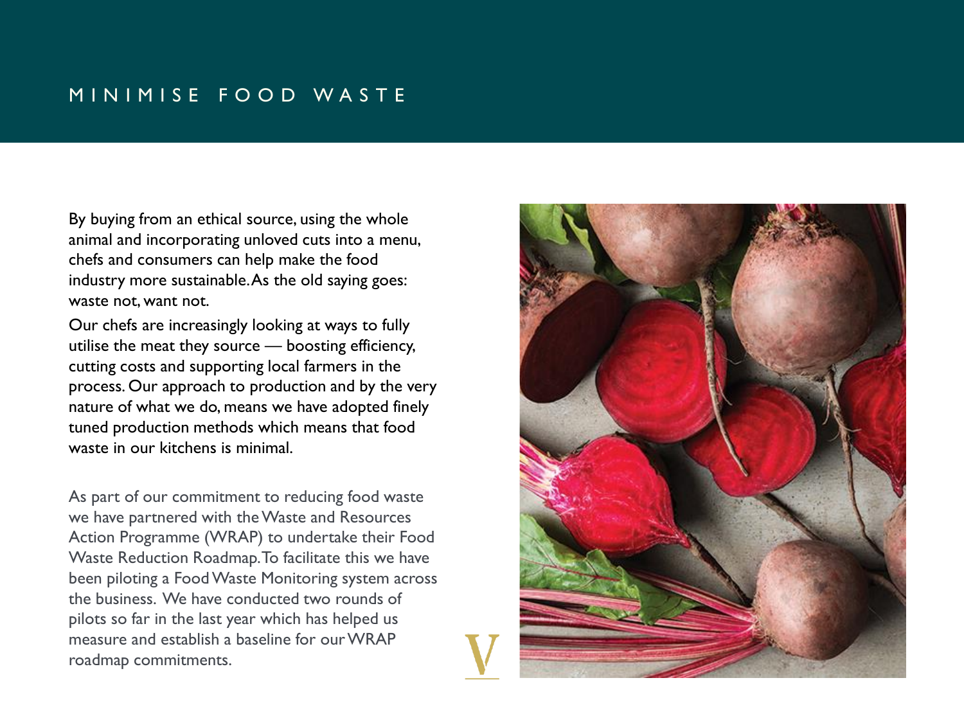# MINIMISE FOOD WASTE

By buying from an ethical source, using the whole animal and incorporating unloved cuts into a menu, chefs and consumers can help make the food industry more sustainable. As the old saying goes: waste not, want not.

Our chefs are increasingly looking at ways to fully utilise the meat they source — boosting efficiency, cutting costs and supporting local farmers in the process. Our approach to production and by the very nature of what we do, means we have adopted finely tuned production methods which means that food waste in our kitchens is minimal.

As part of our commitment to reducing food waste we have partnered with the Waste and Resources Action Programme (WRAP) to undertake their Food Waste Reduction Roadmap. To facilitate this we have been piloting a Food Waste Monitoring system across the business. We have conducted two rounds of pilots so far in the last year which has helped us measure and establish a baseline for our WRAP roadmap commitments.

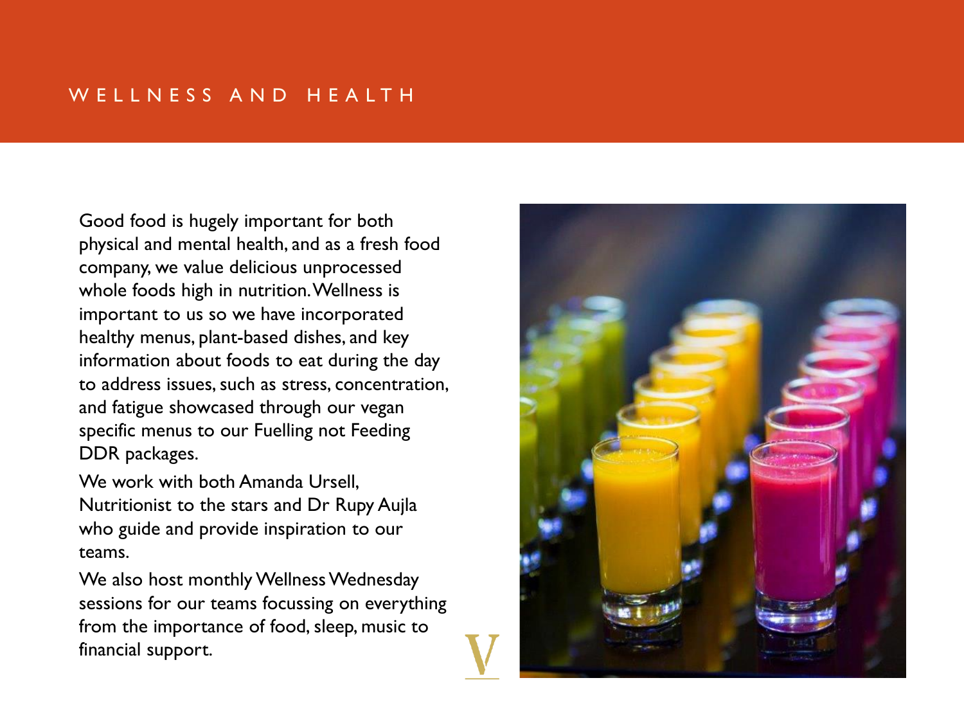# W ELL N E S S A N D H E A L T H

Good food is hugely important for both physical and mental health, and as a fresh food company, we value delicious unprocessed whole foods high in nutrition. Wellness is important to us so we have incorporated healthy menus, plant-based dishes, and key information about foods to eat during the day to address issues, such as stress, concentration, and fatigue showcased through our vegan specific menus to our Fuelling not Feeding DDR packages.

We work with both Amanda Ursell. Nutritionist to the stars and Dr Rupy Aujla who guide and provide inspiration to our teams.

We also host monthly Wellness Wednesday sessions for our teams focussing on everything from the importance of food, sleep, music to financial support.

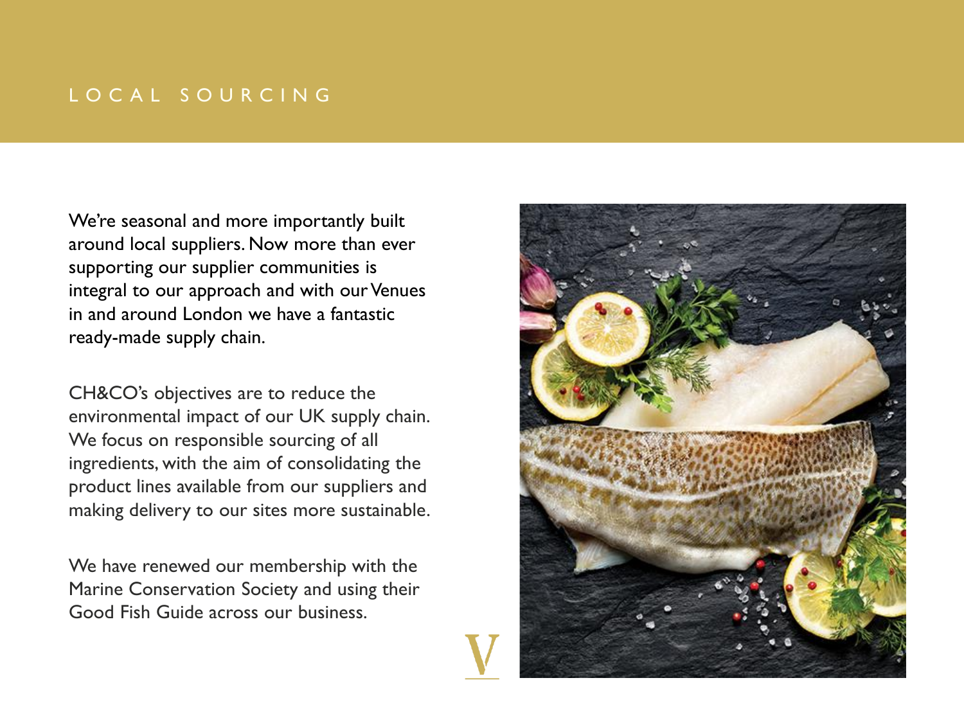# L O C A L S O U R C I N G

We're seasonal and more importantly built around local suppliers. Now more than ever supporting our supplier communities is integral to our approach and with our Venues in and around London we have a fantastic ready-made supply chain.

CH&CO's objectives are to reduce the environmental impact of our UK supply chain. We focus on responsible sourcing of all ingredients, with the aim of consolidating the product lines available from our suppliers and making delivery to our sites more sustainable.

We have renewed our membership with the Marine Conservation Society and using their Good Fish Guide across our business.

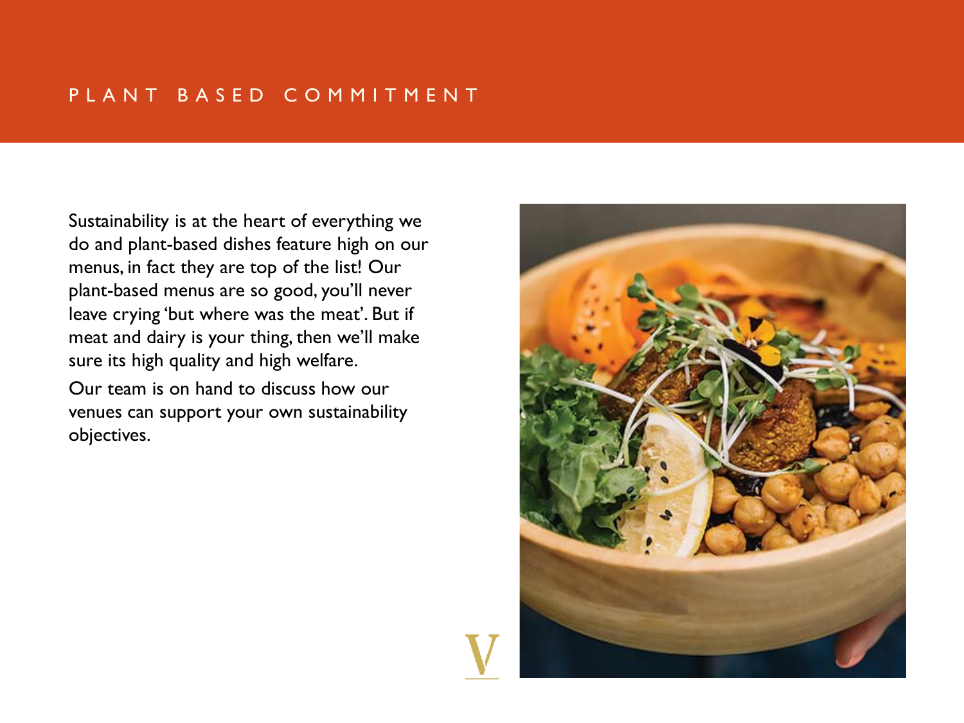### PLANT BASED COMMITMENT

Sustainability is at the heart of everything we do and plant-based dishes feature high on our menus, in fact they are top of the list! Our plant-based menus are so good, you'll never leave crying 'but where was the meat'. But if meat and dairy is your thing, then we'll make sure its high quality and high welfare.

Our team is on hand to discuss how our venues can support your own sustainability objectives.

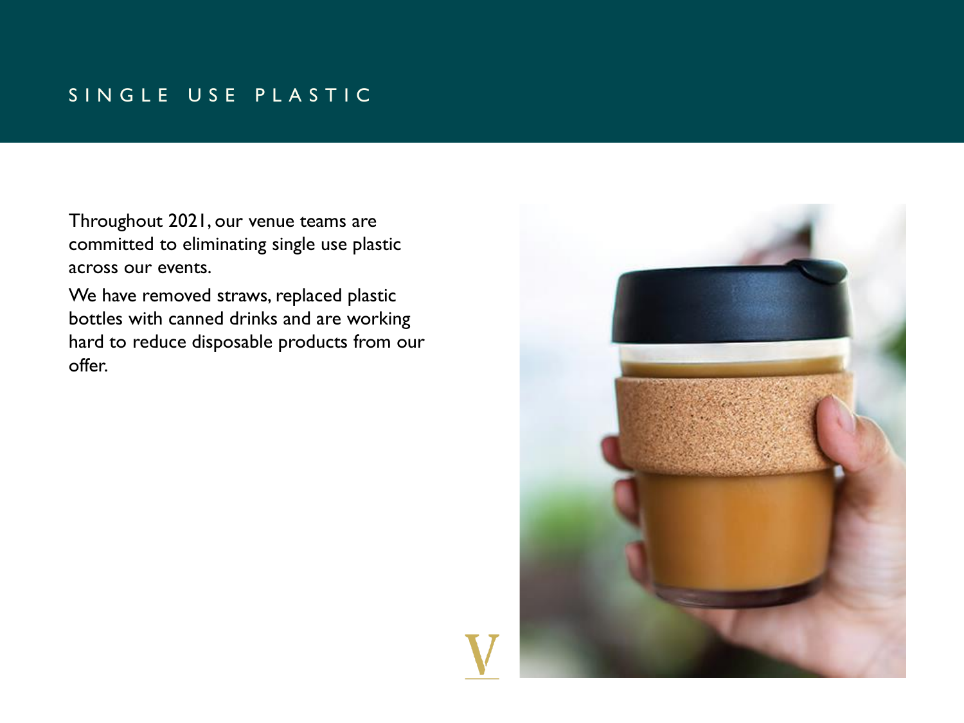# SINGLE USE PLASTIC

Throughout 2021, our venue teams are committed to eliminating single use plastic across our events.

We have removed straws, replaced plastic bottles with canned drinks and are working hard to reduce disposable products from our offer.

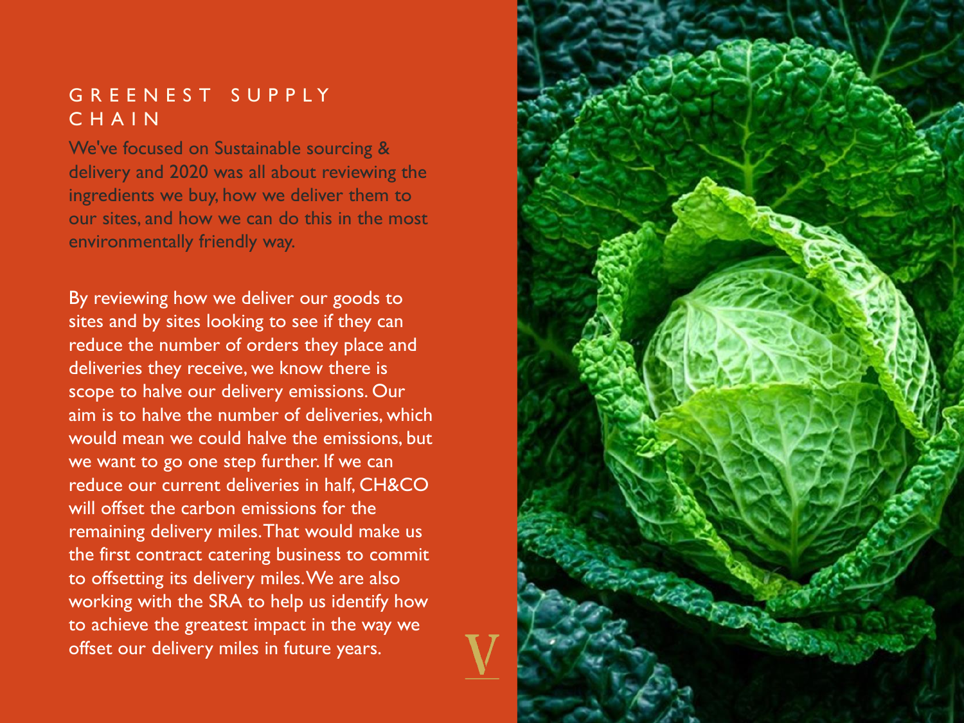## G R E E N E S T S U P P L Y C H A I N

We've focused on Sustainable sourcing & delivery and 2020 was all about reviewing the ingredients we buy, how we deliver them to our sites, and how we can do this in the most environmentally friendly way.

By reviewing how we deliver our goods to sites and by sites looking to see if they can reduce the number of orders they place and deliveries they receive, we know there is scope to halve our delivery emissions. Our aim is to halve the number of deliveries, which would mean we could halve the emissions, but we want to go one step further. If we can reduce our current deliveries in half, CH&CO will offset the carbon emissions for the remaining delivery miles. That would make us the first contract catering business to commit to offsetting its delivery miles. We are also working with the SRA to help us identify how to achieve the greatest impact in the way we offset our delivery miles in future years.

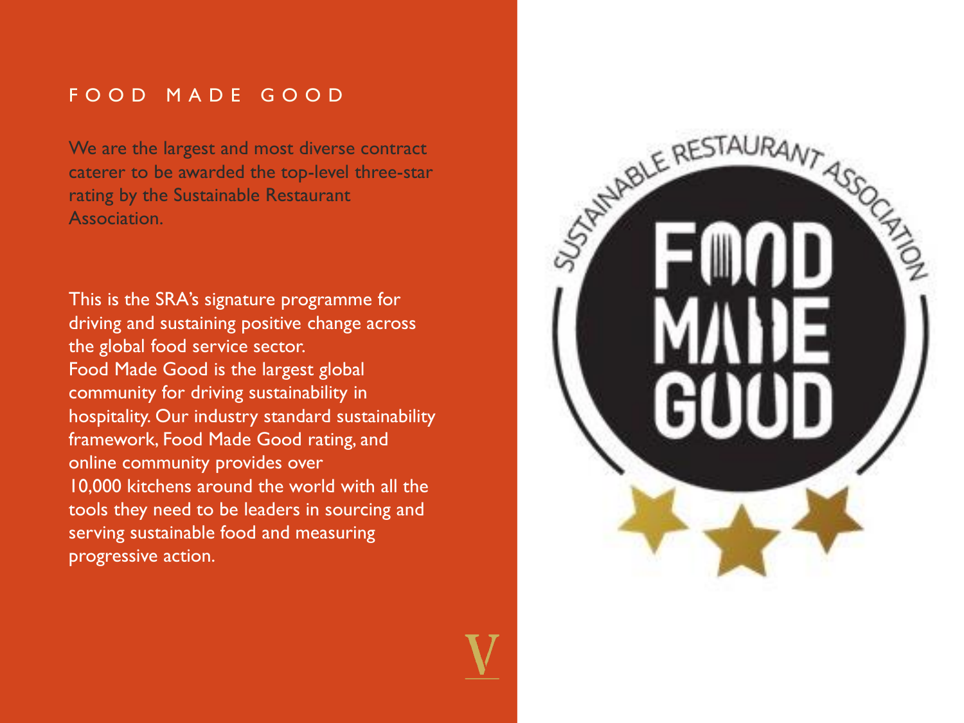### F O O D M A D E G O O D

We are the largest and most diverse contract caterer to be awarded the top-level three-star rating by the Sustainable Restaurant Association.

This is the SRA's signature programme for driving and sustaining positive change across the global food service sector. Food Made Good is the largest global community for driving sustainability in hospitality. Our industry standard sustainability framework, Food Made Good rating, and online community provides over 10,000 kitchens around the world with all the tools they need to be leaders in sourcing and serving sustainable food and measuring progressive action.

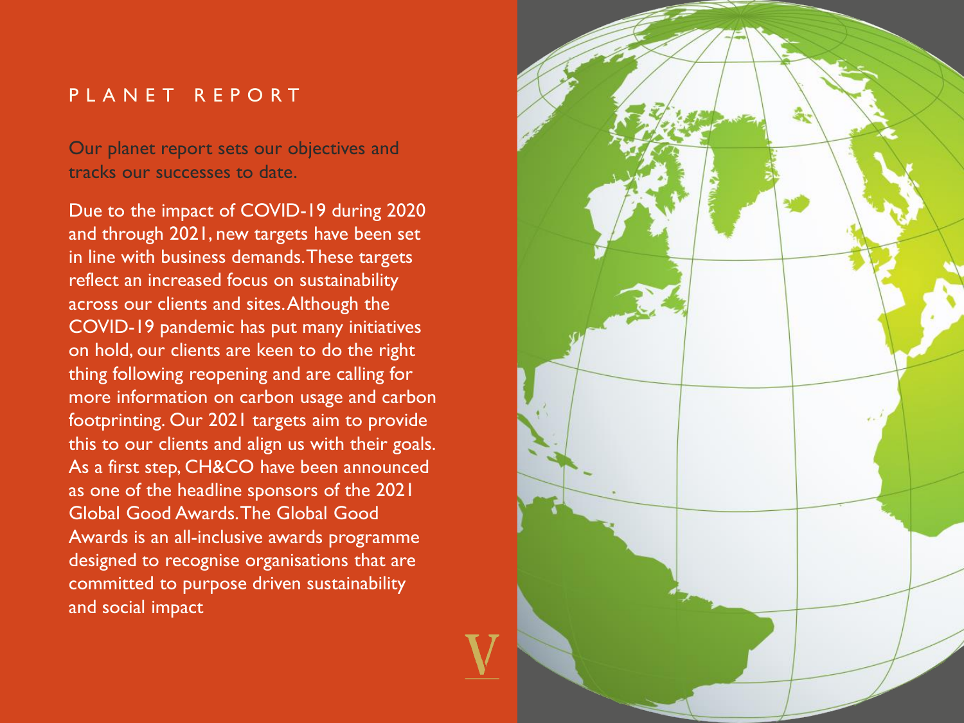### PLANET REPORT

Our planet report sets our objectives and tracks our successes to date.

Due to the impact of COVID-19 during 2020 and through 2021, new targets have been set in line with business demands. These targets reflect an increased focus on sustainability across our clients and sites. Although the COVID-19 pandemic has put many initiatives on hold, our clients are keen to do the right thing following reopening and are calling for more information on carbon usage and carbon footprinting. Our 2021 targets aim to provide this to our clients and align us with their goals. As a first step, CH&CO have been announced as one of the headline sponsors of the 2021 Global Good Awards. The Global Good Awards is an all-inclusive awards programme designed to recognise organisations that are committed to purpose driven sustainability and social impact